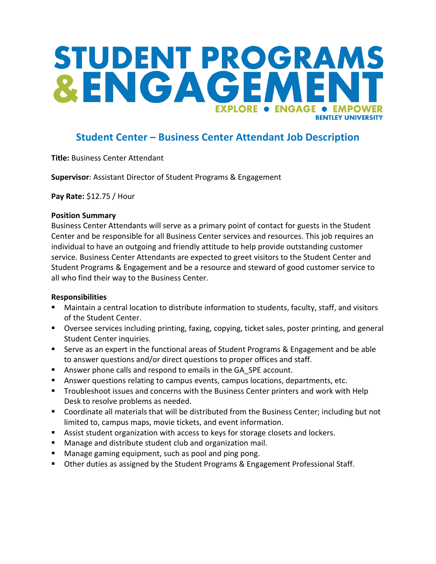## STUDENT PROGRAMS &ENGAGEM **EXPLORE . ENGAGE** • EMPOWER **RENTI EY UNIVERSITY**

### **Student Center – Business Center Attendant Job Description**

**Title:** Business Center Attendant

**Supervisor**: Assistant Director of Student Programs & Engagement

**Pay Rate:** \$12.75 / Hour

#### **Position Summary**

Business Center Attendants will serve as a primary point of contact for guests in the Student Center and be responsible for all Business Center services and resources. This job requires an individual to have an outgoing and friendly attitude to help provide outstanding customer service. Business Center Attendants are expected to greet visitors to the Student Center and Student Programs & Engagement and be a resource and steward of good customer service to all who find their way to the Business Center.

#### **Responsibilities**

- Maintain a central location to distribute information to students, faculty, staff, and visitors of the Student Center.
- Oversee services including printing, faxing, copying, ticket sales, poster printing, and general Student Center inquiries.
- Serve as an expert in the functional areas of Student Programs & Engagement and be able to answer questions and/or direct questions to proper offices and staff.
- Answer phone calls and respond to emails in the GA\_SPE account.
- Answer questions relating to campus events, campus locations, departments, etc.
- **Troubleshoot issues and concerns with the Business Center printers and work with Help** Desk to resolve problems as needed.
- Coordinate all materials that will be distributed from the Business Center; including but not limited to, campus maps, movie tickets, and event information.
- Assist student organization with access to keys for storage closets and lockers.
- Manage and distribute student club and organization mail.
- **Manage gaming equipment, such as pool and ping pong.**
- Other duties as assigned by the Student Programs & Engagement Professional Staff.